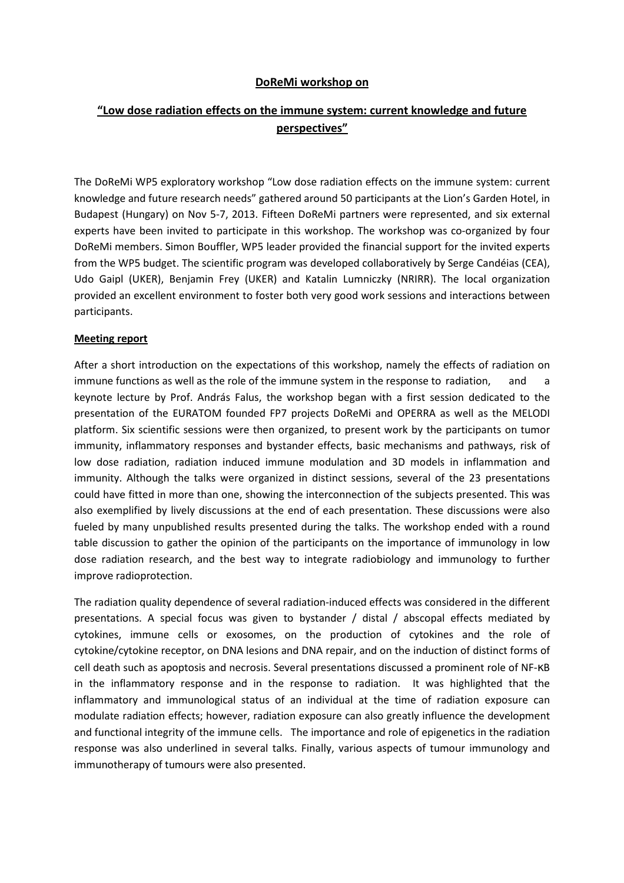## **DoReMi workshop on**

## **"Low dose radiation effects on the immune system: current knowledge and future perspectives"**

The DoReMi WP5 exploratory workshop "Low dose radiation effects on the immune system: current knowledge and future research needs" gathered around 50 participants at the Lion's Garden Hotel, in Budapest (Hungary) on Nov 5-7, 2013. Fifteen DoReMi partners were represented, and six external experts have been invited to participate in this workshop. The workshop was co-organized by four DoReMi members. Simon Bouffler, WP5 leader provided the financial support for the invited experts from the WP5 budget. The scientific program was developed collaboratively by Serge Candéias (CEA), Udo Gaipl (UKER), Benjamin Frey (UKER) and Katalin Lumniczky (NRIRR). The local organization provided an excellent environment to foster both very good work sessions and interactions between participants.

## **Meeting report**

After a short introduction on the expectations of this workshop, namely the effects of radiation on immune functions as well as the role of the immune system in the response to radiation, and a keynote lecture by Prof. András Falus, the workshop began with a first session dedicated to the presentation of the EURATOM founded FP7 projects DoReMi and OPERRA as well as the MELODI platform. Six scientific sessions were then organized, to present work by the participants on tumor immunity, inflammatory responses and bystander effects, basic mechanisms and pathways, risk of low dose radiation, radiation induced immune modulation and 3D models in inflammation and immunity. Although the talks were organized in distinct sessions, several of the 23 presentations could have fitted in more than one, showing the interconnection of the subjects presented. This was also exemplified by lively discussions at the end of each presentation. These discussions were also fueled by many unpublished results presented during the talks. The workshop ended with a round table discussion to gather the opinion of the participants on the importance of immunology in low dose radiation research, and the best way to integrate radiobiology and immunology to further improve radioprotection.

The radiation quality dependence of several radiation-induced effects was considered in the different presentations. A special focus was given to bystander / distal / abscopal effects mediated by cytokines, immune cells or exosomes, on the production of cytokines and the role of cytokine/cytokine receptor, on DNA lesions and DNA repair, and on the induction of distinct forms of cell death such as apoptosis and necrosis. Several presentations discussed a prominent role of NF-κB in the inflammatory response and in the response to radiation. It was highlighted that the inflammatory and immunological status of an individual at the time of radiation exposure can modulate radiation effects; however, radiation exposure can also greatly influence the development and functional integrity of the immune cells. The importance and role of epigenetics in the radiation response was also underlined in several talks. Finally, various aspects of tumour immunology and immunotherapy of tumours were also presented.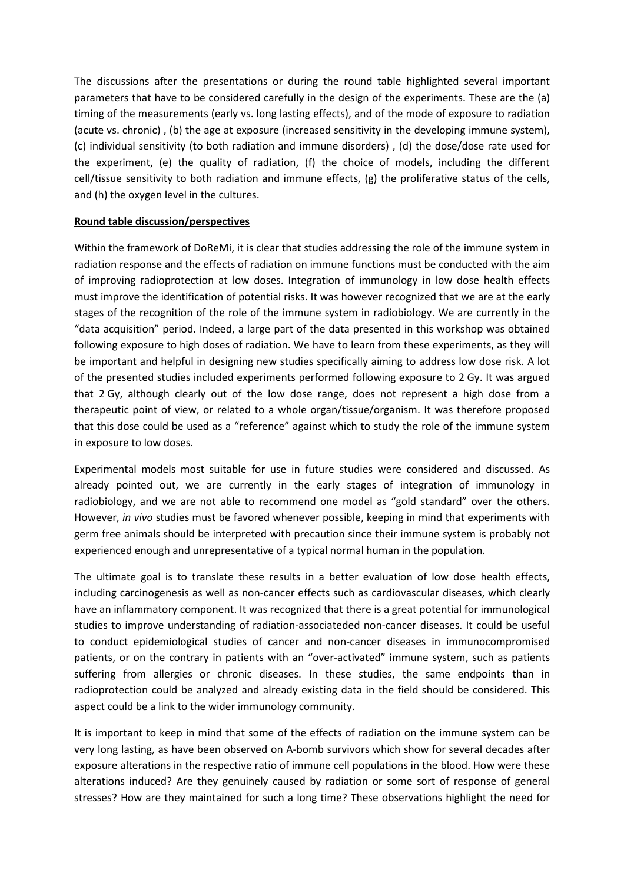The discussions after the presentations or during the round table highlighted several important parameters that have to be considered carefully in the design of the experiments. These are the (a) timing of the measurements (early vs. long lasting effects), and of the mode of exposure to radiation (acute vs. chronic) , (b) the age at exposure (increased sensitivity in the developing immune system), (c) individual sensitivity (to both radiation and immune disorders) , (d) the dose/dose rate used for the experiment, (e) the quality of radiation, (f) the choice of models, including the different cell/tissue sensitivity to both radiation and immune effects, (g) the proliferative status of the cells, and (h) the oxygen level in the cultures.

## **Round table discussion/perspectives**

Within the framework of DoReMi, it is clear that studies addressing the role of the immune system in radiation response and the effects of radiation on immune functions must be conducted with the aim of improving radioprotection at low doses. Integration of immunology in low dose health effects must improve the identification of potential risks. It was however recognized that we are at the early stages of the recognition of the role of the immune system in radiobiology. We are currently in the "data acquisition" period. Indeed, a large part of the data presented in this workshop was obtained following exposure to high doses of radiation. We have to learn from these experiments, as they will be important and helpful in designing new studies specifically aiming to address low dose risk. A lot of the presented studies included experiments performed following exposure to 2 Gy. It was argued that 2 Gy, although clearly out of the low dose range, does not represent a high dose from a therapeutic point of view, or related to a whole organ/tissue/organism. It was therefore proposed that this dose could be used as a "reference" against which to study the role of the immune system in exposure to low doses.

Experimental models most suitable for use in future studies were considered and discussed. As already pointed out, we are currently in the early stages of integration of immunology in radiobiology, and we are not able to recommend one model as "gold standard" over the others. However, *in vivo* studies must be favored whenever possible, keeping in mind that experiments with germ free animals should be interpreted with precaution since their immune system is probably not experienced enough and unrepresentative of a typical normal human in the population.

The ultimate goal is to translate these results in a better evaluation of low dose health effects, including carcinogenesis as well as non-cancer effects such as cardiovascular diseases, which clearly have an inflammatory component. It was recognized that there is a great potential for immunological studies to improve understanding of radiation-associateded non-cancer diseases. It could be useful to conduct epidemiological studies of cancer and non-cancer diseases in immunocompromised patients, or on the contrary in patients with an "over-activated" immune system, such as patients suffering from allergies or chronic diseases. In these studies, the same endpoints than in radioprotection could be analyzed and already existing data in the field should be considered. This aspect could be a link to the wider immunology community.

It is important to keep in mind that some of the effects of radiation on the immune system can be very long lasting, as have been observed on A-bomb survivors which show for several decades after exposure alterations in the respective ratio of immune cell populations in the blood. How were these alterations induced? Are they genuinely caused by radiation or some sort of response of general stresses? How are they maintained for such a long time? These observations highlight the need for